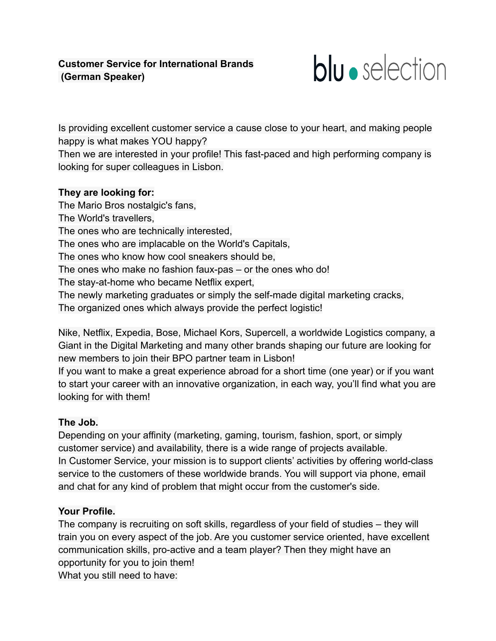

Is providing excellent customer service a cause close to your heart, and making people happy is what makes YOU happy?

Then we are interested in your profile! This fast-paced and high performing company is looking for super colleagues in Lisbon.

### **They are looking for:**

The Mario Bros nostalgic's fans, The World's travellers, The ones who are technically interested, The ones who are implacable on the World's Capitals, The ones who know how cool sneakers should be, The ones who make no fashion faux-pas – or the ones who do! The stay-at-home who became Netflix expert, The newly marketing graduates or simply the self-made digital marketing cracks, The organized ones which always provide the perfect logistic!

Nike, Netflix, Expedia, Bose, Michael Kors, Supercell, a worldwide Logistics company, a Giant in the Digital Marketing and many other brands shaping our future are looking for new members to join their BPO partner team in Lisbon!

If you want to make a great experience abroad for a short time (one year) or if you want to start your career with an innovative organization, in each way, you'll find what you are looking for with them!

# **The Job.**

Depending on your affinity (marketing, gaming, tourism, fashion, sport, or simply customer service) and availability, there is a wide range of projects available. In Customer Service, your mission is to support clients' activities by offering world-class service to the customers of these worldwide brands. You will support via phone, email and chat for any kind of problem that might occur from the customer's side.

# **Your Profile.**

The company is recruiting on soft skills, regardless of your field of studies – they will train you on every aspect of the job. Are you customer service oriented, have excellent communication skills, pro-active and a team player? Then they might have an opportunity for you to join them! What you still need to have: